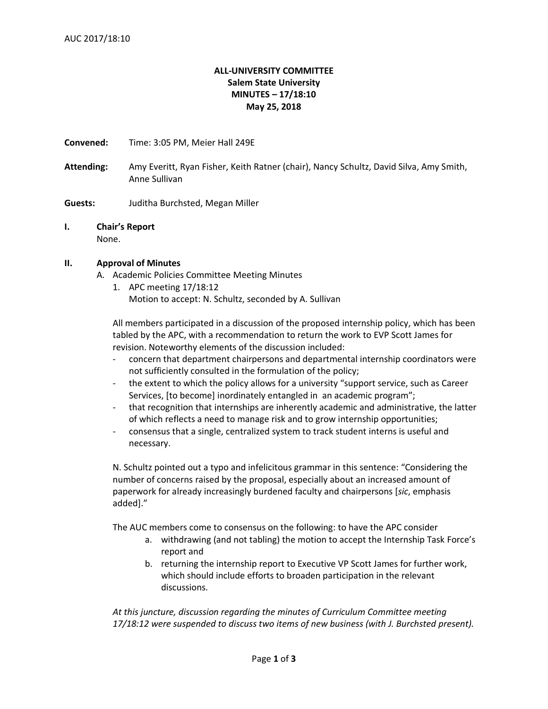# **ALL-UNIVERSITY COMMITTEE Salem State University MINUTES – 17/18:10 May 25, 2018**

**Convened:** Time: 3:05 PM, Meier Hall 249E

**Attending:** Amy Everitt, Ryan Fisher, Keith Ratner (chair), Nancy Schultz, David Silva, Amy Smith, Anne Sullivan

**Guests:** Juditha Burchsted, Megan Miller

#### **I. Chair's Report** None.

## **II. Approval of Minutes**

- A. Academic Policies Committee Meeting Minutes
	- 1. APC meeting 17/18:12 Motion to accept: N. Schultz, seconded by A. Sullivan

All members participated in a discussion of the proposed internship policy, which has been tabled by the APC, with a recommendation to return the work to EVP Scott James for revision. Noteworthy elements of the discussion included:

- concern that department chairpersons and departmental internship coordinators were not sufficiently consulted in the formulation of the policy;
- the extent to which the policy allows for a university "support service, such as Career Services, [to become] inordinately entangled in an academic program";
- that recognition that internships are inherently academic and administrative, the latter of which reflects a need to manage risk and to grow internship opportunities;
- consensus that a single, centralized system to track student interns is useful and necessary.

N. Schultz pointed out a typo and infelicitous grammar in this sentence: "Considering the number of concerns raised by the proposal, especially about an increased amount of paperwork for already increasingly burdened faculty and chairpersons [*sic*, emphasis added]."

The AUC members come to consensus on the following: to have the APC consider

- a. withdrawing (and not tabling) the motion to accept the Internship Task Force's report and
- b. returning the internship report to Executive VP Scott James for further work, which should include efforts to broaden participation in the relevant discussions.

*At this juncture, discussion regarding the minutes of Curriculum Committee meeting 17/18:12 were suspended to discuss two items of new business (with J. Burchsted present).*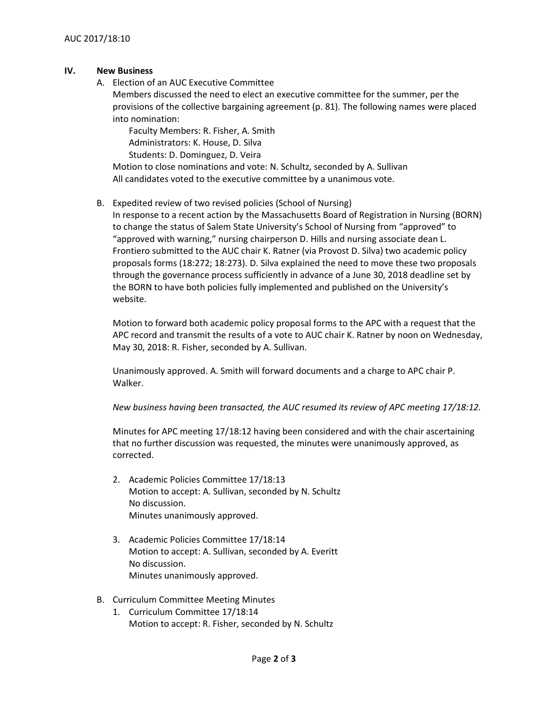## **IV. New Business**

A. Election of an AUC Executive Committee

Members discussed the need to elect an executive committee for the summer, per the provisions of the collective bargaining agreement (p. 81). The following names were placed into nomination:

Faculty Members: R. Fisher, A. Smith Administrators: K. House, D. Silva

Students: D. Dominguez, D. Veira

Motion to close nominations and vote: N. Schultz, seconded by A. Sullivan All candidates voted to the executive committee by a unanimous vote.

## B. Expedited review of two revised policies (School of Nursing)

In response to a recent action by the Massachusetts Board of Registration in Nursing (BORN) to change the status of Salem State University's School of Nursing from "approved" to "approved with warning," nursing chairperson D. Hills and nursing associate dean L. Frontiero submitted to the AUC chair K. Ratner (via Provost D. Silva) two academic policy proposals forms (18:272; 18:273). D. Silva explained the need to move these two proposals through the governance process sufficiently in advance of a June 30, 2018 deadline set by the BORN to have both policies fully implemented and published on the University's website.

Motion to forward both academic policy proposal forms to the APC with a request that the APC record and transmit the results of a vote to AUC chair K. Ratner by noon on Wednesday, May 30, 2018: R. Fisher, seconded by A. Sullivan.

Unanimously approved. A. Smith will forward documents and a charge to APC chair P. Walker.

## *New business having been transacted, the AUC resumed its review of APC meeting 17/18:12.*

Minutes for APC meeting 17/18:12 having been considered and with the chair ascertaining that no further discussion was requested, the minutes were unanimously approved, as corrected.

- 2. Academic Policies Committee 17/18:13 Motion to accept: A. Sullivan, seconded by N. Schultz No discussion. Minutes unanimously approved.
- 3. Academic Policies Committee 17/18:14 Motion to accept: A. Sullivan, seconded by A. Everitt No discussion. Minutes unanimously approved.
- B. Curriculum Committee Meeting Minutes
	- 1. Curriculum Committee 17/18:14 Motion to accept: R. Fisher, seconded by N. Schultz